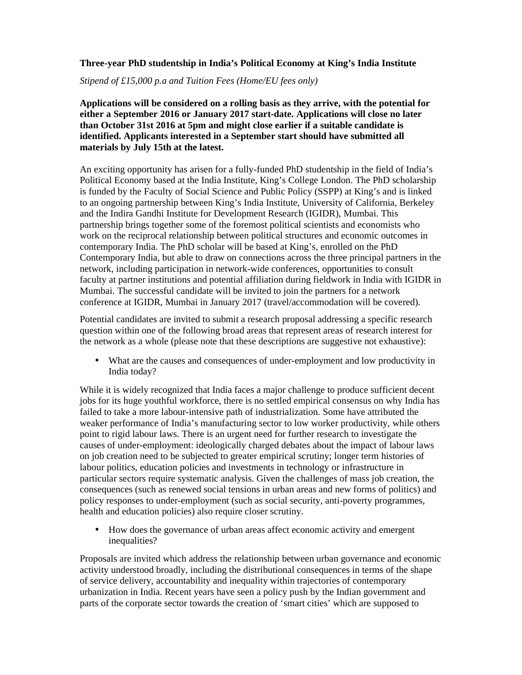## **Three-year PhD studentship in India's Political Economy at King's India Institute**

*Stipend of £15,000 p.a and Tuition Fees (Home/EU fees only)* 

**Applications will be considered on a rolling basis as they arrive, with the potential for either a September 2016 or January 2017 start-date. Applications will close no later than October 31st 2016 at 5pm and might close earlier if a suitable candidate is identified. Applicants interested in a September start should have submitted all materials by July 15th at the latest.** 

An exciting opportunity has arisen for a fully-funded PhD studentship in the field of India's Political Economy based at the India Institute, King's College London. The PhD scholarship is funded by the Faculty of Social Science and Public Policy (SSPP) at King's and is linked to an ongoing partnership between King's India Institute, University of California, Berkeley and the Indira Gandhi Institute for Development Research (IGIDR), Mumbai. This partnership brings together some of the foremost political scientists and economists who work on the reciprocal relationship between political structures and economic outcomes in contemporary India. The PhD scholar will be based at King's, enrolled on the PhD Contemporary India, but able to draw on connections across the three principal partners in the network, including participation in network-wide conferences, opportunities to consult faculty at partner institutions and potential affiliation during fieldwork in India with IGIDR in Mumbai. The successful candidate will be invited to join the partners for a network conference at IGIDR, Mumbai in January 2017 (travel/accommodation will be covered).

Potential candidates are invited to submit a research proposal addressing a specific research question within one of the following broad areas that represent areas of research interest for the network as a whole (please note that these descriptions are suggestive not exhaustive):

• What are the causes and consequences of under-employment and low productivity in India today?

While it is widely recognized that India faces a major challenge to produce sufficient decent jobs for its huge youthful workforce, there is no settled empirical consensus on why India has failed to take a more labour-intensive path of industrialization. Some have attributed the weaker performance of India's manufacturing sector to low worker productivity, while others point to rigid labour laws. There is an urgent need for further research to investigate the causes of under-employment: ideologically charged debates about the impact of labour laws on job creation need to be subjected to greater empirical scrutiny; longer term histories of labour politics, education policies and investments in technology or infrastructure in particular sectors require systematic analysis. Given the challenges of mass job creation, the consequences (such as renewed social tensions in urban areas and new forms of politics) and policy responses to under-employment (such as social security, anti-poverty programmes, health and education policies) also require closer scrutiny.

• How does the governance of urban areas affect economic activity and emergent inequalities?

Proposals are invited which address the relationship between urban governance and economic activity understood broadly, including the distributional consequences in terms of the shape of service delivery, accountability and inequality within trajectories of contemporary urbanization in India. Recent years have seen a policy push by the Indian government and parts of the corporate sector towards the creation of 'smart cities' which are supposed to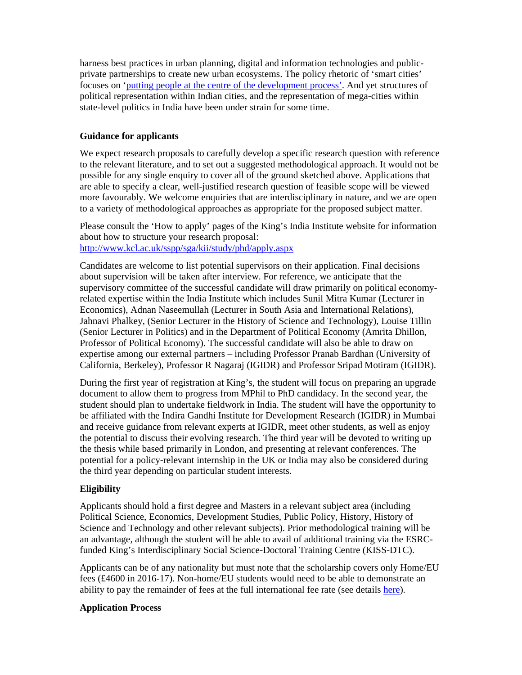harness best practices in urban planning, digital and information technologies and publicprivate partnerships to create new urban ecosystems. The policy rhetoric of 'smart cities' focuses on 'putting people at the centre of the development process'. And yet structures of political representation within Indian cities, and the representation of mega-cities within state-level politics in India have been under strain for some time.

## **Guidance for applicants**

We expect research proposals to carefully develop a specific research question with reference to the relevant literature, and to set out a suggested methodological approach. It would not be possible for any single enquiry to cover all of the ground sketched above. Applications that are able to specify a clear, well-justified research question of feasible scope will be viewed more favourably. We welcome enquiries that are interdisciplinary in nature, and we are open to a variety of methodological approaches as appropriate for the proposed subject matter.

Please consult the 'How to apply' pages of the King's India Institute website for information about how to structure your research proposal: http://www.kcl.ac.uk/sspp/sga/kii/study/phd/apply.aspx

Candidates are welcome to list potential supervisors on their application. Final decisions about supervision will be taken after interview. For reference, we anticipate that the supervisory committee of the successful candidate will draw primarily on political economyrelated expertise within the India Institute which includes Sunil Mitra Kumar (Lecturer in Economics), Adnan Naseemullah (Lecturer in South Asia and International Relations), Jahnavi Phalkey, (Senior Lecturer in the History of Science and Technology), Louise Tillin (Senior Lecturer in Politics) and in the Department of Political Economy (Amrita Dhillon, Professor of Political Economy). The successful candidate will also be able to draw on expertise among our external partners – including Professor Pranab Bardhan (University of California, Berkeley), Professor R Nagaraj (IGIDR) and Professor Sripad Motiram (IGIDR).

During the first year of registration at King's, the student will focus on preparing an upgrade document to allow them to progress from MPhil to PhD candidacy. In the second year, the student should plan to undertake fieldwork in India. The student will have the opportunity to be affiliated with the Indira Gandhi Institute for Development Research (IGIDR) in Mumbai and receive guidance from relevant experts at IGIDR, meet other students, as well as enjoy the potential to discuss their evolving research. The third year will be devoted to writing up the thesis while based primarily in London, and presenting at relevant conferences. The potential for a policy-relevant internship in the UK or India may also be considered during the third year depending on particular student interests.

## **Eligibility**

Applicants should hold a first degree and Masters in a relevant subject area (including Political Science, Economics, Development Studies, Public Policy, History, History of Science and Technology and other relevant subjects). Prior methodological training will be an advantage, although the student will be able to avail of additional training via the ESRCfunded King's Interdisciplinary Social Science-Doctoral Training Centre (KISS-DTC).

Applicants can be of any nationality but must note that the scholarship covers only Home/EU fees (£4600 in 2016-17). Non-home/EU students would need to be able to demonstrate an ability to pay the remainder of fees at the full international fee rate (see details here).

## **Application Process**